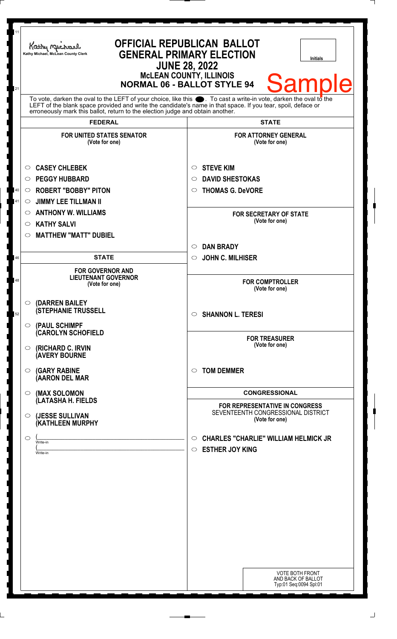| 11<br>21 | <b>OFFICIAL REPUBLICAN BALLOT</b><br>Kathy Machael<br><b>GENERAL PRIMARY ELECTION</b><br>Kathy Michael, McLean County Clerk<br><b>Initials</b><br><b>JUNE 28, 2022</b><br><b>McLEAN COUNTY, ILLINOIS</b><br><b>Sample</b><br><b>NORMAL 06 - BALLOT STYLE 94</b><br>To vote, darken the oval to the LEFT of your choice, like this $\bullet$ . To cast a write-in vote, darken the oval to the LEFT of the blank space provided and write the candidate's name in that space. If you tear, spoil, deface |                                                                                             |
|----------|---------------------------------------------------------------------------------------------------------------------------------------------------------------------------------------------------------------------------------------------------------------------------------------------------------------------------------------------------------------------------------------------------------------------------------------------------------------------------------------------------------|---------------------------------------------------------------------------------------------|
|          | erroneously mark this ballot, return to the election judge and obtain another.                                                                                                                                                                                                                                                                                                                                                                                                                          |                                                                                             |
|          | <b>FEDERAL</b>                                                                                                                                                                                                                                                                                                                                                                                                                                                                                          | <b>STATE</b>                                                                                |
|          | <b>FOR UNITED STATES SENATOR</b><br>(Vote for one)                                                                                                                                                                                                                                                                                                                                                                                                                                                      | <b>FOR ATTORNEY GENERAL</b><br>(Vote for one)                                               |
|          | <b>CASEY CHLEBEK</b><br>O                                                                                                                                                                                                                                                                                                                                                                                                                                                                               | <b>STEVE KIM</b><br>$\circ$                                                                 |
|          | <b>PEGGY HUBBARD</b><br>$\circ$                                                                                                                                                                                                                                                                                                                                                                                                                                                                         | <b>DAVID SHESTOKAS</b><br>$\circ$                                                           |
| 40       | <b>ROBERT "BOBBY" PITON</b><br>$\circ$                                                                                                                                                                                                                                                                                                                                                                                                                                                                  | <b>THOMAS G. DeVORE</b><br>$\circ$                                                          |
| 41       | <b>JIMMY LEE TILLMAN II</b><br>$\circ$                                                                                                                                                                                                                                                                                                                                                                                                                                                                  |                                                                                             |
|          | <b>ANTHONY W. WILLIAMS</b><br>O                                                                                                                                                                                                                                                                                                                                                                                                                                                                         | <b>FOR SECRETARY OF STATE</b><br>(Vote for one)                                             |
|          | <b>KATHY SALVI</b><br>O                                                                                                                                                                                                                                                                                                                                                                                                                                                                                 |                                                                                             |
|          | <b>MATTHEW "MATT" DUBIEL</b><br>O                                                                                                                                                                                                                                                                                                                                                                                                                                                                       |                                                                                             |
| 46       | <b>STATE</b>                                                                                                                                                                                                                                                                                                                                                                                                                                                                                            | <b>DAN BRADY</b><br>$\circ$                                                                 |
|          |                                                                                                                                                                                                                                                                                                                                                                                                                                                                                                         | <b>JOHN C. MILHISER</b><br>$\circ$                                                          |
| 48       | <b>FOR GOVERNOR AND</b><br><b>LIEUTENANT GOVERNOR</b><br>(Vote for one)                                                                                                                                                                                                                                                                                                                                                                                                                                 | <b>FOR COMPTROLLER</b><br>(Vote for one)                                                    |
| 52       | $\circ$ (DARREN BAILEY<br><b>(STEPHANIE TRUSSELL</b>                                                                                                                                                                                                                                                                                                                                                                                                                                                    | $\circ$ SHANNON L. TERESI                                                                   |
|          | $\circ$ (PAUL SCHIMPF<br><b>CAROLYN SCHOFIELD</b><br>(RICHARD C. IRVIN<br>O<br><b>(AVERY BOURNE</b>                                                                                                                                                                                                                                                                                                                                                                                                     | <b>FOR TREASURER</b><br>(Vote for one)                                                      |
|          | <b>(GARY RABINE</b><br>O<br>(AARON DEL MAR                                                                                                                                                                                                                                                                                                                                                                                                                                                              | <b>TOM DEMMER</b><br>$\circ$                                                                |
|          | (MAX SOLOMON<br>O                                                                                                                                                                                                                                                                                                                                                                                                                                                                                       | <b>CONGRESSIONAL</b>                                                                        |
|          | (LATASHA H. FIELDS<br>(JESSE SULLIVAN<br>$\circ$<br>(KATHLEEN MURPHY                                                                                                                                                                                                                                                                                                                                                                                                                                    | FOR REPRESENTATIVE IN CONGRESS<br>SEVENTEENTH CONGRESSIONAL DISTRICT<br>(Vote for one)      |
|          | O<br>Write-in<br>Write-in                                                                                                                                                                                                                                                                                                                                                                                                                                                                               | <b>CHARLES "CHARLIE" WILLIAM HELMICK JR</b><br>$\circ$<br><b>ESTHER JOY KING</b><br>$\circ$ |
|          |                                                                                                                                                                                                                                                                                                                                                                                                                                                                                                         | <b>VOTE BOTH FRONT</b><br>AND BACK OF BALLOT<br>Typ:01 Seq:0094 Spl:01                      |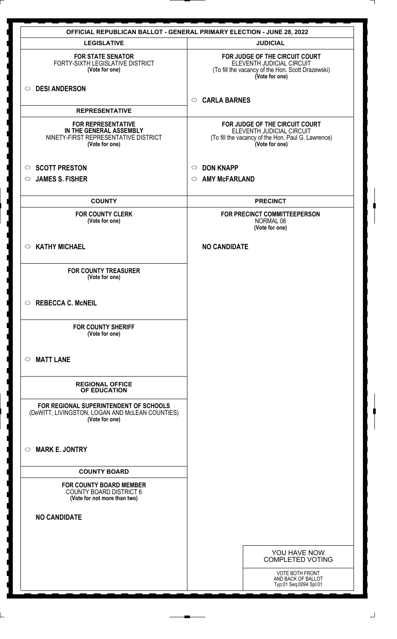|                                                                                                                | <b>OFFICIAL REPUBLICAN BALLOT - GENERAL PRIMARY ELECTION - JUNE 28, 2022</b>                                                        |
|----------------------------------------------------------------------------------------------------------------|-------------------------------------------------------------------------------------------------------------------------------------|
| <b>LEGISLATIVE</b>                                                                                             | <b>JUDICIAL</b>                                                                                                                     |
| <b>FOR STATE SENATOR</b><br>FORTY-SIXTH LEGISLATIVE DISTRICT<br>(Vote for one)                                 | FOR JUDGE OF THE CIRCUIT COURT<br>ELEVENTH JUDICIAL CIRCUIT<br>(To fill the vacancy of the Hon. Scott Drazewski)<br>(Vote for one)  |
| <b>DESI ANDERSON</b><br>$\circ$                                                                                | <b>CARLA BARNES</b><br>$\circ$                                                                                                      |
| <b>REPRESENTATIVE</b>                                                                                          |                                                                                                                                     |
| <b>FOR REPRESENTATIVE</b><br>IN THE GENERAL ASSEMBLY<br>NINETY-FIRST REPRESENTATIVE DISTRICT<br>(Vote for one) | FOR JUDGE OF THE CIRCUIT COURT<br>ELEVENTH JUDICIAL CIRCUIT<br>(To fill the vacancy of the Hon. Paul G. Lawrence)<br>(Vote for one) |
| <b>SCOTT PRESTON</b><br>$\circ$                                                                                | <b>DON KNAPP</b><br>$\circ$                                                                                                         |
| <b>JAMES S. FISHER</b><br>$\circ$                                                                              | <b>AMY McFARLAND</b><br>$\circ$                                                                                                     |
| <b>COUNTY</b>                                                                                                  | <b>PRECINCT</b>                                                                                                                     |
| <b>FOR COUNTY CLERK</b><br>(Vote for one)                                                                      | FOR PRECINCT COMMITTEEPERSON<br>NORMAL 06<br>(Vote for one)                                                                         |
| <b>KATHY MICHAEL</b><br>$\circ$                                                                                | <b>NO CANDIDATE</b>                                                                                                                 |
| <b>FOR COUNTY TREASURER</b><br>(Vote for one)                                                                  |                                                                                                                                     |
| $\circ$ REBECCA C. McNEIL                                                                                      |                                                                                                                                     |
| <b>FOR COUNTY SHERIFF</b><br>(Vote for one)                                                                    |                                                                                                                                     |
| <b>MATT LANE</b><br>$\bigcirc$                                                                                 |                                                                                                                                     |
| <b>REGIONAL OFFICE</b><br>OF EDUCATION                                                                         |                                                                                                                                     |
| FOR REGIONAL SUPERINTENDENT OF SCHOOLS<br>(DeWITT, LIVINGSTON, LOGAN AND McLEAN COUNTIES)<br>(Vote for one)    |                                                                                                                                     |
| <b>MARK E. JONTRY</b><br>$\circ$                                                                               |                                                                                                                                     |
| <b>COUNTY BOARD</b>                                                                                            |                                                                                                                                     |
| <b>FOR COUNTY BOARD MEMBER</b><br><b>COUNTY BOARD DISTRICT 6</b><br>(Vote for not more than two)               |                                                                                                                                     |
| <b>NO CANDIDATE</b>                                                                                            |                                                                                                                                     |
|                                                                                                                |                                                                                                                                     |
|                                                                                                                | YOU HAVE NOW<br><b>COMPLETED VOTING</b>                                                                                             |
|                                                                                                                | VOTE BOTH FRONT<br>AND BACK OF BALLOT<br>Typ:01 Seq:0094 Spl:01                                                                     |

 $\perp$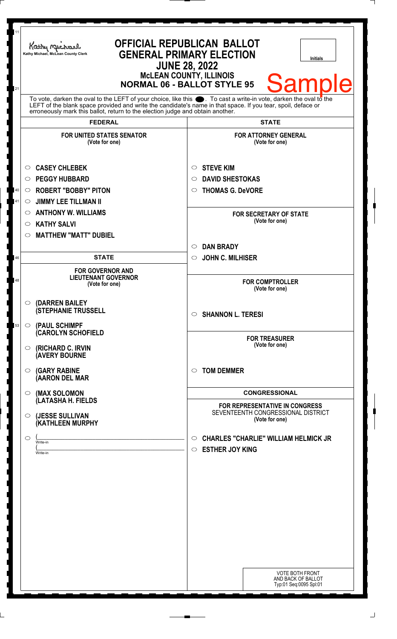| 11<br>21 | Kathy Michael<br>Kathy Michael, McLean County Clerk                                                                                                                                                                                                                                                                    | <b>OFFICIAL REPUBLICAN BALLOT</b><br><b>GENERAL PRIMARY ELECTION</b><br><b>Initials</b><br><b>JUNE 28, 2022</b><br><b>McLEAN COUNTY, ILLINOIS</b><br><b>Sample</b><br><b>NORMAL 06 - BALLOT STYLE 95</b> |
|----------|------------------------------------------------------------------------------------------------------------------------------------------------------------------------------------------------------------------------------------------------------------------------------------------------------------------------|----------------------------------------------------------------------------------------------------------------------------------------------------------------------------------------------------------|
|          | To vote, darken the oval to the LEFT of your choice, like this $\bullet$ . To cast a write-in vote, darken the oval to the LEFT of the blank space provided and write the candidate's name in that space. If you tear, spoil, deface<br>erroneously mark this ballot, return to the election judge and obtain another. |                                                                                                                                                                                                          |
|          | <b>FEDERAL</b>                                                                                                                                                                                                                                                                                                         | <b>STATE</b>                                                                                                                                                                                             |
|          | <b>FOR UNITED STATES SENATOR</b><br>(Vote for one)                                                                                                                                                                                                                                                                     | <b>FOR ATTORNEY GENERAL</b><br>(Vote for one)                                                                                                                                                            |
|          | <b>CASEY CHLEBEK</b><br>$\circ$                                                                                                                                                                                                                                                                                        | <b>STEVE KIM</b><br>O                                                                                                                                                                                    |
|          | <b>PEGGY HUBBARD</b><br>$\circ$                                                                                                                                                                                                                                                                                        | <b>DAVID SHESTOKAS</b><br>◯                                                                                                                                                                              |
| 40       | <b>ROBERT "BOBBY" PITON</b><br>$\circ$                                                                                                                                                                                                                                                                                 | <b>THOMAS G. DeVORE</b><br>O                                                                                                                                                                             |
| 41       | <b>JIMMY LEE TILLMAN II</b><br>O                                                                                                                                                                                                                                                                                       |                                                                                                                                                                                                          |
|          | <b>ANTHONY W. WILLIAMS</b><br>$\circ$                                                                                                                                                                                                                                                                                  | <b>FOR SECRETARY OF STATE</b>                                                                                                                                                                            |
|          | <b>KATHY SALVI</b><br>$\circ$                                                                                                                                                                                                                                                                                          | (Vote for one)                                                                                                                                                                                           |
|          | <b>MATTHEW "MATT" DUBIEL</b><br>O                                                                                                                                                                                                                                                                                      |                                                                                                                                                                                                          |
|          |                                                                                                                                                                                                                                                                                                                        | <b>DAN BRADY</b><br>$\circlearrowright$                                                                                                                                                                  |
| 46       | <b>STATE</b>                                                                                                                                                                                                                                                                                                           | <b>JOHN C. MILHISER</b><br>$\circ$                                                                                                                                                                       |
| 48       | <b>FOR GOVERNOR AND</b><br><b>LIEUTENANT GOVERNOR</b><br>(Vote for one)                                                                                                                                                                                                                                                | <b>FOR COMPTROLLER</b><br>(Vote for one)                                                                                                                                                                 |
| 53       | $\circ$ (DARREN BAILEY<br><b>(STEPHANIE TRUSSELL</b><br>$\circ$ (PAUL SCHIMPF                                                                                                                                                                                                                                          | $\circ$ SHANNON L. TERESI                                                                                                                                                                                |
|          | <b>CAROLYN SCHOFIELD</b><br>$\circ$ (RICHARD C. IRVIN<br><b>(AVERY BOURNE</b>                                                                                                                                                                                                                                          | <b>FOR TREASURER</b><br>(Vote for one)                                                                                                                                                                   |
|          | $\circ$ (GARY RABINE<br>(AARON DEL MAR                                                                                                                                                                                                                                                                                 | <b>TOM DEMMER</b><br>$\circ$                                                                                                                                                                             |
|          | (MAX SOLOMON<br>$\bigcirc$                                                                                                                                                                                                                                                                                             | <b>CONGRESSIONAL</b>                                                                                                                                                                                     |
|          | (LATASHA H. FIELDS<br>(JESSE SULLIVAN<br>$\circ$<br>(KATHLEEN MURPHY                                                                                                                                                                                                                                                   | <b>FOR REPRESENTATIVE IN CONGRESS</b><br>SEVENTEENTH CONGRESSIONAL DISTRICT<br>(Vote for one)                                                                                                            |
|          | $\circ$<br>Write-in<br>Write-in                                                                                                                                                                                                                                                                                        | <b>CHARLES "CHARLIE" WILLIAM HELMICK JR</b><br>$\circ$<br><b>ESTHER JOY KING</b><br>$\circ$                                                                                                              |
|          |                                                                                                                                                                                                                                                                                                                        | <b>VOTE BOTH FRONT</b><br>AND BACK OF BALLOT<br>Typ:01 Seq:0095 Spl:01                                                                                                                                   |

 $\Box$